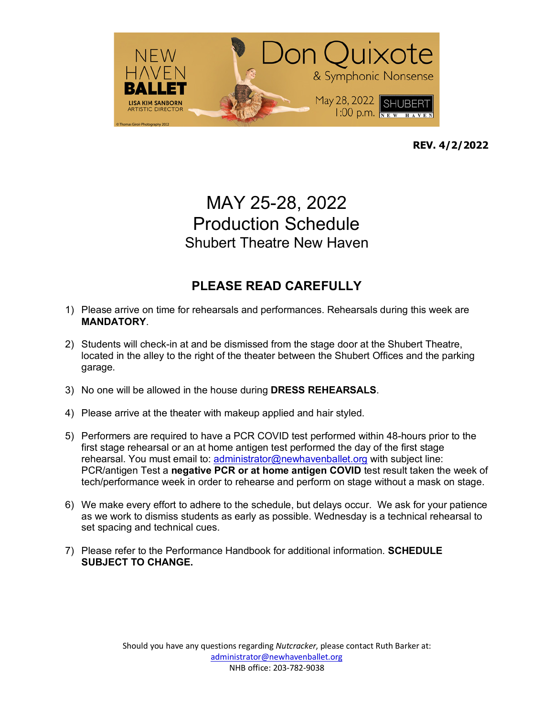

**REV. 4/2/2022**

# MAY 25-28, 2022 Production Schedule Shubert Theatre New Haven

#### **PLEASE READ CAREFULLY**

- 1) Please arrive on time for rehearsals and performances. Rehearsals during this week are **MANDATORY**.
- 2) Students will check-in at and be dismissed from the stage door at the Shubert Theatre, located in the alley to the right of the theater between the Shubert Offices and the parking garage.
- 3) No one will be allowed in the house during **DRESS REHEARSALS**.
- 4) Please arrive at the theater with makeup applied and hair styled.
- 5) Performers are required to have a PCR COVID test performed within 48-hours prior to the first stage rehearsal or an at home antigen test performed the day of the first stage rehearsal. You must email to: administrator@newhavenballet.org with subject line: PCR/antigen Test a **negative PCR or at home antigen COVID** test result taken the week of tech/performance week in order to rehearse and perform on stage without a mask on stage.
- 6) We make every effort to adhere to the schedule, but delays occur. We ask for your patience as we work to dismiss students as early as possible. Wednesday is a technical rehearsal to set spacing and technical cues.
- 7) Please refer to the Performance Handbook for additional information. **SCHEDULE SUBJECT TO CHANGE.**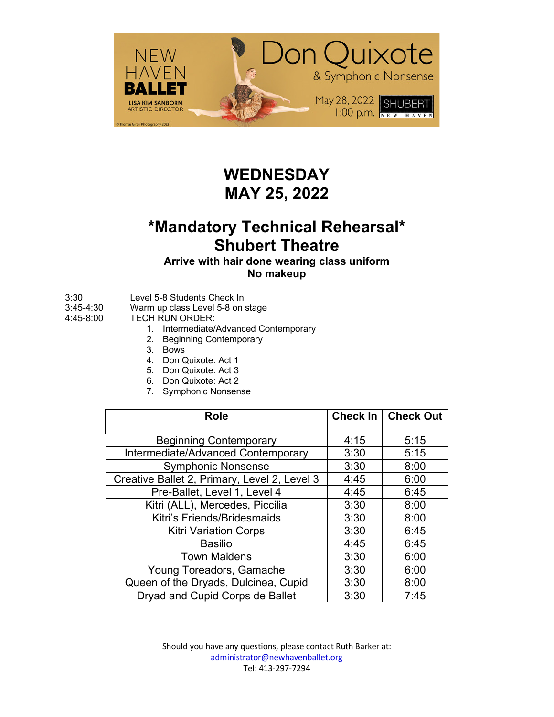

#### **WEDNESDAY MAY 25, 2022**

### **\*Mandatory Technical Rehearsal\* Shubert Theatre**

#### **Arrive with hair done wearing class uniform No makeup**

- 3:30 Level 5-8 Students Check In
- 3:45-4:30 Warm up class Level 5-8 on stage
- 4:45-8:00 TECH RUN ORDER:
	- 1. Intermediate/Advanced Contemporary
	- 2. Beginning Contemporary
	- 3. Bows
	- 4. Don Quixote: Act 1
	- 5. Don Quixote: Act 3
	- 6. Don Quixote: Act 2
	- 7. Symphonic Nonsense

| <b>Role</b>                                  | Check In | <b>Check Out</b> |
|----------------------------------------------|----------|------------------|
|                                              |          |                  |
| <b>Beginning Contemporary</b>                | 4:15     | 5:15             |
| Intermediate/Advanced Contemporary           | 3:30     | 5:15             |
| <b>Symphonic Nonsense</b>                    | 3:30     | 8:00             |
| Creative Ballet 2, Primary, Level 2, Level 3 | 4:45     | 6:00             |
| Pre-Ballet, Level 1, Level 4                 | 4:45     | 6:45             |
| Kitri (ALL), Mercedes, Piccilia              | 3:30     | 8:00             |
| Kitri's Friends/Bridesmaids                  | 3:30     | 8:00             |
| <b>Kitri Variation Corps</b>                 | 3:30     | 6:45             |
| <b>Basilio</b>                               | 4:45     | 6:45             |
| <b>Town Maidens</b>                          | 3:30     | 6:00             |
| Young Toreadors, Gamache                     | 3:30     | 6:00             |
| Queen of the Dryads, Dulcinea, Cupid         | 3:30     | 8:00             |
| Dryad and Cupid Corps de Ballet              | 3:30     | 7:45             |

Should you have any questions, please contact Ruth Barker at: administrator@newhavenballet.org Tel: 413-297-7294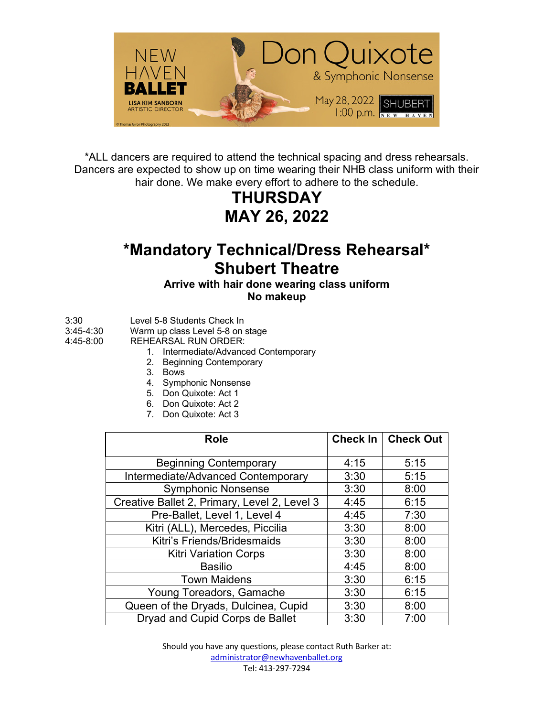

\*ALL dancers are required to attend the technical spacing and dress rehearsals. Dancers are expected to show up on time wearing their NHB class uniform with their hair done. We make every effort to adhere to the schedule.

> **THURSDAY MAY 26, 2022**

### **\*Mandatory Technical/Dress Rehearsal\* Shubert Theatre**

#### **Arrive with hair done wearing class uniform No makeup**

- 3:30 Level 5-8 Students Check In
- 3:45-4:30 Warm up class Level 5-8 on stage
- 4:45-8:00 REHEARSAL RUN ORDER:
	- 1. Intermediate/Advanced Contemporary
	- 2. Beginning Contemporary
	- 3. Bows
	- 4. Symphonic Nonsense
	- 5. Don Quixote: Act 1
	- 6. Don Quixote: Act 2
	- 7. Don Quixote: Act 3

| <b>Role</b>                                  |      | Check In   Check Out |
|----------------------------------------------|------|----------------------|
|                                              |      |                      |
| <b>Beginning Contemporary</b>                | 4:15 | 5:15                 |
| Intermediate/Advanced Contemporary           | 3:30 | 5:15                 |
| <b>Symphonic Nonsense</b>                    | 3:30 | 8:00                 |
| Creative Ballet 2, Primary, Level 2, Level 3 | 4:45 | 6:15                 |
| Pre-Ballet, Level 1, Level 4                 | 4:45 | 7:30                 |
| Kitri (ALL), Mercedes, Piccilia              | 3:30 | 8:00                 |
| Kitri's Friends/Bridesmaids                  | 3:30 | 8:00                 |
| <b>Kitri Variation Corps</b>                 | 3:30 | 8:00                 |
| <b>Basilio</b>                               | 4:45 | 8:00                 |
| <b>Town Maidens</b>                          | 3:30 | 6:15                 |
| Young Toreadors, Gamache                     | 3:30 | 6:15                 |
| Queen of the Dryads, Dulcinea, Cupid         | 3:30 | 8:00                 |
| Dryad and Cupid Corps de Ballet              | 3:30 | 7:00                 |

Should you have any questions, please contact Ruth Barker at: administrator@newhavenballet.org Tel: 413-297-7294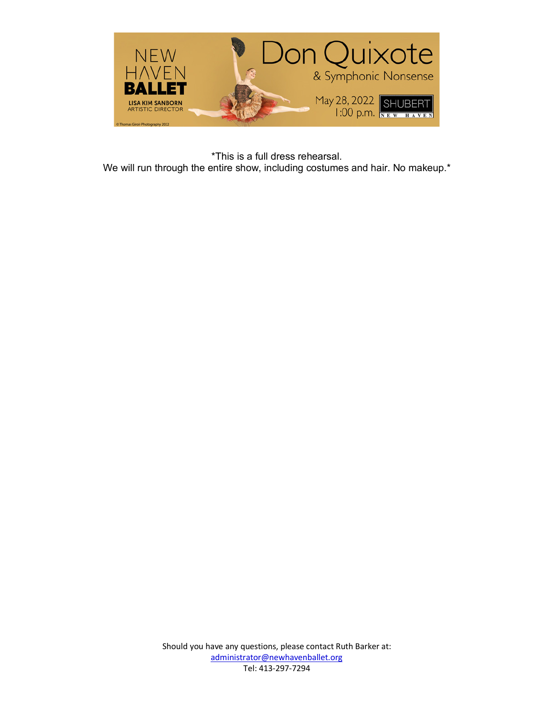

\*This is a full dress rehearsal. We will run through the entire show, including costumes and hair. No makeup.<sup>\*</sup>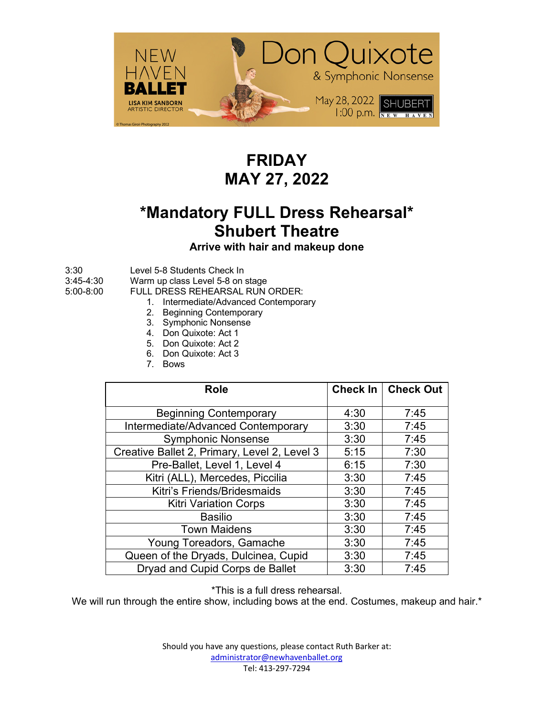

## **FRIDAY MAY 27, 2022**

# **\*Mandatory FULL Dress Rehearsal\* Shubert Theatre**

**Arrive with hair and makeup done**

3:30 Level 5-8 Students Check In

3:45-4:30 Warm up class Level 5-8 on stage

5:00-8:00 FULL DRESS REHEARSAL RUN ORDER:

- 1. Intermediate/Advanced Contemporary
- 2. Beginning Contemporary
- 3. Symphonic Nonsense
- 4. Don Quixote: Act 1
- 5. Don Quixote: Act 2
- 6. Don Quixote: Act 3
- 7. Bows

| <b>Role</b>                                  | <b>Check In</b> | <b>Check Out</b> |
|----------------------------------------------|-----------------|------------------|
|                                              |                 |                  |
| <b>Beginning Contemporary</b>                | 4:30            | 7:45             |
| Intermediate/Advanced Contemporary           | 3:30            | 7:45             |
| <b>Symphonic Nonsense</b>                    | 3:30            | 7:45             |
| Creative Ballet 2, Primary, Level 2, Level 3 | 5:15            | 7:30             |
| Pre-Ballet, Level 1, Level 4                 | 6:15            | 7:30             |
| Kitri (ALL), Mercedes, Piccilia              | 3:30            | 7:45             |
| Kitri's Friends/Bridesmaids                  | 3:30            | 7:45             |
| <b>Kitri Variation Corps</b>                 | 3:30            | 7:45             |
| <b>Basilio</b>                               | 3:30            | 7:45             |
| <b>Town Maidens</b>                          | 3:30            | 7:45             |
| Young Toreadors, Gamache                     | 3:30            | 7:45             |
| Queen of the Dryads, Dulcinea, Cupid         | 3:30            | 7:45             |
| Dryad and Cupid Corps de Ballet              | 3:30            | 7:45             |

\*This is a full dress rehearsal.

We will run through the entire show, including bows at the end. Costumes, makeup and hair.\*

Should you have any questions, please contact Ruth Barker at: administrator@newhavenballet.org Tel: 413-297-7294